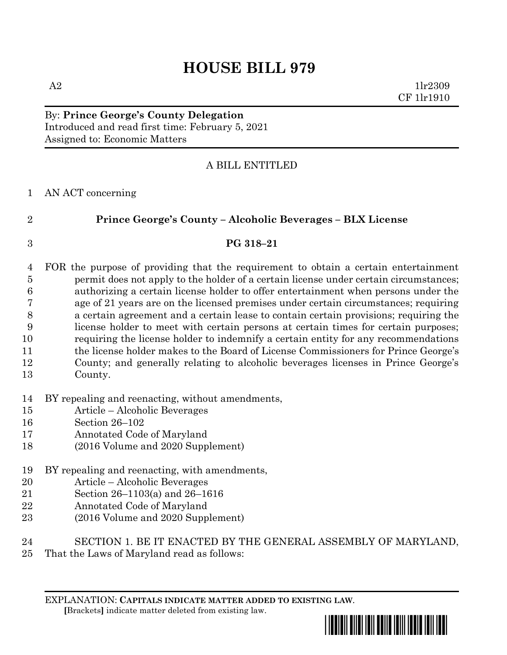# **HOUSE BILL 979**

 $A2$  1lr2309 CF 1lr1910

By: **Prince George's County Delegation** Introduced and read first time: February 5, 2021 Assigned to: Economic Matters

## A BILL ENTITLED

AN ACT concerning

# **Prince George's County – Alcoholic Beverages – BLX License**

## **PG 318–21**

- FOR the purpose of providing that the requirement to obtain a certain entertainment permit does not apply to the holder of a certain license under certain circumstances; authorizing a certain license holder to offer entertainment when persons under the age of 21 years are on the licensed premises under certain circumstances; requiring a certain agreement and a certain lease to contain certain provisions; requiring the license holder to meet with certain persons at certain times for certain purposes; requiring the license holder to indemnify a certain entity for any recommendations the license holder makes to the Board of License Commissioners for Prince George's County; and generally relating to alcoholic beverages licenses in Prince George's
- County.
- BY repealing and reenacting, without amendments,
- Article Alcoholic Beverages
- Section 26–102
- Annotated Code of Maryland
- (2016 Volume and 2020 Supplement)
- BY repealing and reenacting, with amendments,
- Article Alcoholic Beverages
- Section 26–1103(a) and 26–1616
- Annotated Code of Maryland
- (2016 Volume and 2020 Supplement)
- SECTION 1. BE IT ENACTED BY THE GENERAL ASSEMBLY OF MARYLAND,
- That the Laws of Maryland read as follows:

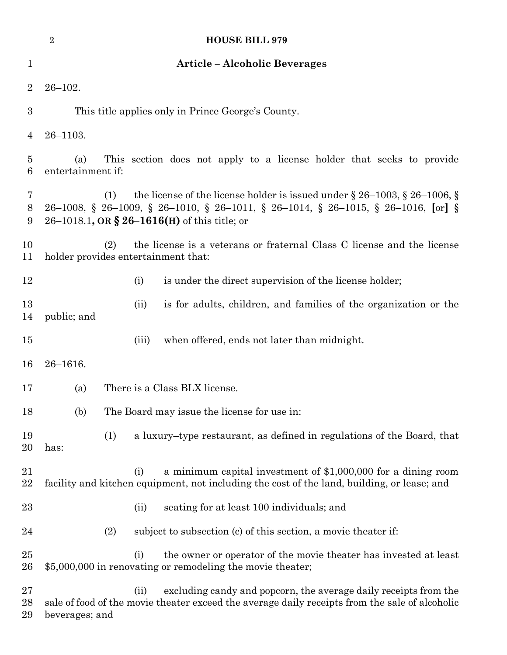|                     | $\overline{2}$                                                                                                                                                                                                                      |                                                                       | <b>HOUSE BILL 979</b>                                                                                                                                              |  |
|---------------------|-------------------------------------------------------------------------------------------------------------------------------------------------------------------------------------------------------------------------------------|-----------------------------------------------------------------------|--------------------------------------------------------------------------------------------------------------------------------------------------------------------|--|
| 1                   | <b>Article - Alcoholic Beverages</b>                                                                                                                                                                                                |                                                                       |                                                                                                                                                                    |  |
| $\overline{2}$      | $26 - 102.$                                                                                                                                                                                                                         |                                                                       |                                                                                                                                                                    |  |
| 3                   | This title applies only in Prince George's County.                                                                                                                                                                                  |                                                                       |                                                                                                                                                                    |  |
| 4                   | $26 - 1103.$                                                                                                                                                                                                                        |                                                                       |                                                                                                                                                                    |  |
| $\overline{5}$<br>6 | (a)<br>entertainment if:                                                                                                                                                                                                            | This section does not apply to a license holder that seeks to provide |                                                                                                                                                                    |  |
| 7<br>8<br>9         | the license of the license holder is issued under $\S 26-1003$ , $\S 26-1006$ , $\S 26$<br>(1)<br>26–1008, § 26–1009, § 26–1010, § 26–1011, § 26–1014, § 26–1015, § 26–1016, [or] §<br>26–1018.1, OR § 26–1616(H) of this title; or |                                                                       |                                                                                                                                                                    |  |
| 10<br>11            | the license is a veterans or fraternal Class C license and the license<br>(2)<br>holder provides entertainment that:                                                                                                                |                                                                       |                                                                                                                                                                    |  |
| 12                  |                                                                                                                                                                                                                                     | (i)                                                                   | is under the direct supervision of the license holder;                                                                                                             |  |
| 13<br>14            | public; and                                                                                                                                                                                                                         | (ii)                                                                  | is for adults, children, and families of the organization or the                                                                                                   |  |
| 15                  |                                                                                                                                                                                                                                     | (iii)                                                                 | when offered, ends not later than midnight.                                                                                                                        |  |
| 16                  | $26 - 1616.$                                                                                                                                                                                                                        |                                                                       |                                                                                                                                                                    |  |
| 17                  | There is a Class BLX license.<br>(a)                                                                                                                                                                                                |                                                                       |                                                                                                                                                                    |  |
| 18                  | (b)<br>The Board may issue the license for use in:                                                                                                                                                                                  |                                                                       |                                                                                                                                                                    |  |
| 19<br>20            | (1)<br>has:                                                                                                                                                                                                                         |                                                                       | a luxury-type restaurant, as defined in regulations of the Board, that                                                                                             |  |
| 21<br>$22\,$        |                                                                                                                                                                                                                                     | (i)                                                                   | a minimum capital investment of \$1,000,000 for a dining room<br>facility and kitchen equipment, not including the cost of the land, building, or lease; and       |  |
| 23                  |                                                                                                                                                                                                                                     | (ii)                                                                  | seating for at least 100 individuals; and                                                                                                                          |  |
| 24                  | (2)                                                                                                                                                                                                                                 |                                                                       | subject to subsection (c) of this section, a movie theater if:                                                                                                     |  |
| 25<br>26            |                                                                                                                                                                                                                                     | (i)                                                                   | the owner or operator of the movie theater has invested at least<br>\$5,000,000 in renovating or remodeling the movie theater;                                     |  |
| $27\,$<br>28<br>29  | beverages; and                                                                                                                                                                                                                      | (ii)                                                                  | excluding candy and popcorn, the average daily receipts from the<br>sale of food of the movie theater exceed the average daily receipts from the sale of alcoholic |  |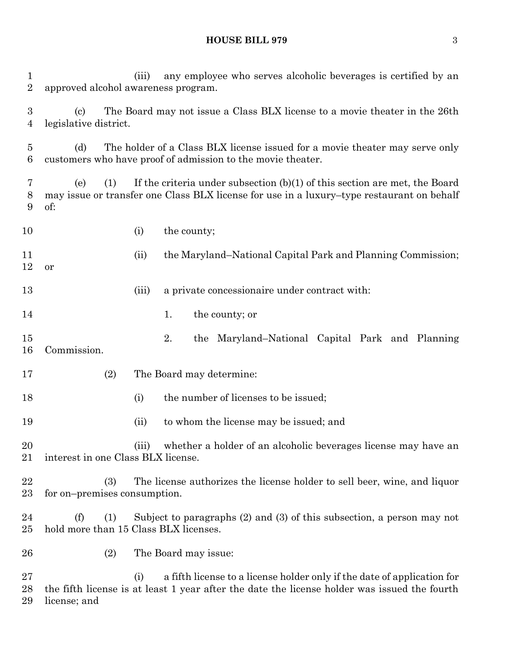#### **HOUSE BILL 979** 3

 (iii) any employee who serves alcoholic beverages is certified by an approved alcohol awareness program. (c) The Board may not issue a Class BLX license to a movie theater in the 26th legislative district. (d) The holder of a Class BLX license issued for a movie theater may serve only customers who have proof of admission to the movie theater. (e) (1) If the criteria under subsection (b)(1) of this section are met, the Board may issue or transfer one Class BLX license for use in a luxury–type restaurant on behalf of: 10 (i) the county; 11 (ii) the Maryland–National Capital Park and Planning Commission; or 13 (iii) a private concessionaire under contract with: 14 1. the county; or 2. the Maryland–National Capital Park and Planning Commission. (2) The Board may determine: 18 (i) the number of licenses to be issued; (ii) to whom the license may be issued; and (iii) whether a holder of an alcoholic beverages license may have an interest in one Class BLX license. (3) The license authorizes the license holder to sell beer, wine, and liquor for on–premises consumption. (f) (1) Subject to paragraphs (2) and (3) of this subsection, a person may not hold more than 15 Class BLX licenses. (2) The Board may issue: (i) a fifth license to a license holder only if the date of application for the fifth license is at least 1 year after the date the license holder was issued the fourth

license; and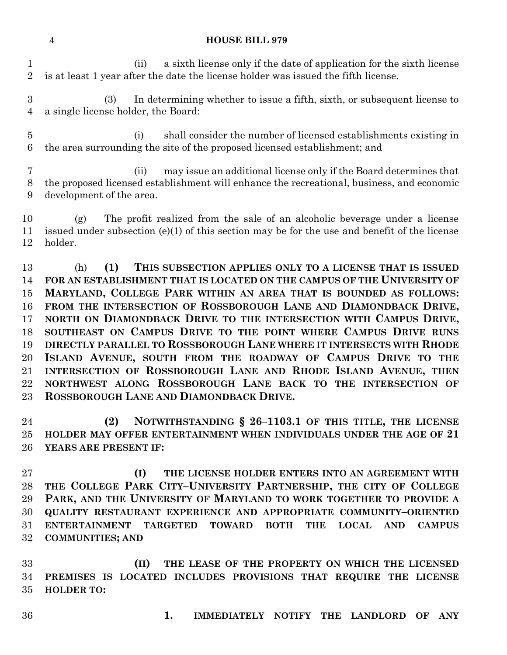## **HOUSE BILL 979**

 (ii) a sixth license only if the date of application for the sixth license is at least 1 year after the date the license holder was issued the fifth license.

 (3) In determining whether to issue a fifth, sixth, or subsequent license to a single license holder, the Board:

 (i) shall consider the number of licensed establishments existing in the area surrounding the site of the proposed licensed establishment; and

 (ii) may issue an additional license only if the Board determines that the proposed licensed establishment will enhance the recreational, business, and economic development of the area.

 (g) The profit realized from the sale of an alcoholic beverage under a license issued under subsection (e)(1) of this section may be for the use and benefit of the license holder.

 (h) **(1) THIS SUBSECTION APPLIES ONLY TO A LICENSE THAT IS ISSUED FOR AN ESTABLISHMENT THAT IS LOCATED ON THE CAMPUS OF THE UNIVERSITY OF MARYLAND, COLLEGE PARK WITHIN AN AREA THAT IS BOUNDED AS FOLLOWS: FROM THE INTERSECTION OF ROSSBOROUGH LANE AND DIAMONDBACK DRIVE, NORTH ON DIAMONDBACK DRIVE TO THE INTERSECTION WITH CAMPUS DRIVE, SOUTHEAST ON CAMPUS DRIVE TO THE POINT WHERE CAMPUS DRIVE RUNS DIRECTLY PARALLEL TO ROSSBOROUGH LANE WHERE IT INTERSECTS WITH RHODE ISLAND AVENUE, SOUTH FROM THE ROADWAY OF CAMPUS DRIVE TO THE INTERSECTION OF ROSSBOROUGH LANE AND RHODE ISLAND AVENUE, THEN NORTHWEST ALONG ROSSBOROUGH LANE BACK TO THE INTERSECTION OF ROSSBOROUGH LANE AND DIAMONDBACK DRIVE.**

 **(2) NOTWITHSTANDING § 26–1103.1 OF THIS TITLE, THE LICENSE HOLDER MAY OFFER ENTERTAINMENT WHEN INDIVIDUALS UNDER THE AGE OF 21 YEARS ARE PRESENT IF:**

 **(I) THE LICENSE HOLDER ENTERS INTO AN AGREEMENT WITH THE COLLEGE PARK CITY–UNIVERSITY PARTNERSHIP, THE CITY OF COLLEGE PARK, AND THE UNIVERSITY OF MARYLAND TO WORK TOGETHER TO PROVIDE A QUALITY RESTAURANT EXPERIENCE AND APPROPRIATE COMMUNITY–ORIENTED ENTERTAINMENT TARGETED TOWARD BOTH THE LOCAL AND CAMPUS COMMUNITIES; AND** 

 **(II) THE LEASE OF THE PROPERTY ON WHICH THE LICENSED PREMISES IS LOCATED INCLUDES PROVISIONS THAT REQUIRE THE LICENSE HOLDER TO:**

**1. IMMEDIATELY NOTIFY THE LANDLORD OF ANY**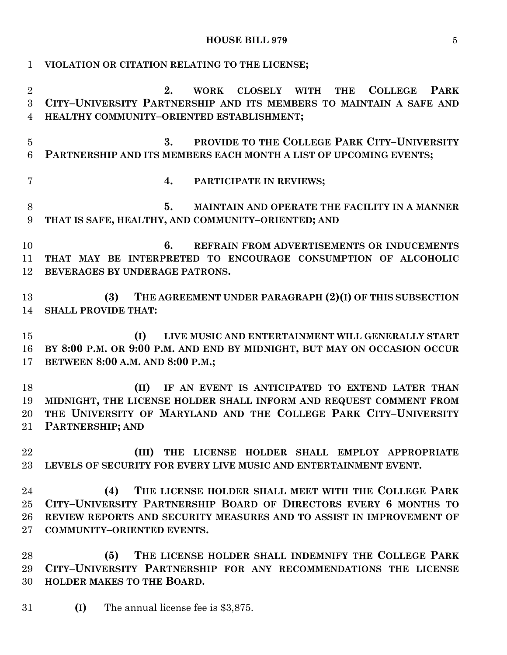### **HOUSE BILL 979** 5

 **VIOLATION OR CITATION RELATING TO THE LICENSE; 2. WORK CLOSELY WITH THE COLLEGE PARK CITY–UNIVERSITY PARTNERSHIP AND ITS MEMBERS TO MAINTAIN A SAFE AND HEALTHY COMMUNITY–ORIENTED ESTABLISHMENT; 3. PROVIDE TO THE COLLEGE PARK CITY–UNIVERSITY PARTNERSHIP AND ITS MEMBERS EACH MONTH A LIST OF UPCOMING EVENTS; 4. PARTICIPATE IN REVIEWS; 5. MAINTAIN AND OPERATE THE FACILITY IN A MANNER THAT IS SAFE, HEALTHY, AND COMMUNITY–ORIENTED; AND 6. REFRAIN FROM ADVERTISEMENTS OR INDUCEMENTS THAT MAY BE INTERPRETED TO ENCOURAGE CONSUMPTION OF ALCOHOLIC BEVERAGES BY UNDERAGE PATRONS. (3) THE AGREEMENT UNDER PARAGRAPH (2)(I) OF THIS SUBSECTION SHALL PROVIDE THAT: (I) LIVE MUSIC AND ENTERTAINMENT WILL GENERALLY START BY 8:00 P.M. OR 9:00 P.M. AND END BY MIDNIGHT, BUT MAY ON OCCASION OCCUR BETWEEN 8:00 A.M. AND 8:00 P.M.; (II) IF AN EVENT IS ANTICIPATED TO EXTEND LATER THAN MIDNIGHT, THE LICENSE HOLDER SHALL INFORM AND REQUEST COMMENT FROM THE UNIVERSITY OF MARYLAND AND THE COLLEGE PARK CITY–UNIVERSITY PARTNERSHIP; AND (III) THE LICENSE HOLDER SHALL EMPLOY APPROPRIATE LEVELS OF SECURITY FOR EVERY LIVE MUSIC AND ENTERTAINMENT EVENT. (4) THE LICENSE HOLDER SHALL MEET WITH THE COLLEGE PARK CITY–UNIVERSITY PARTNERSHIP BOARD OF DIRECTORS EVERY 6 MONTHS TO REVIEW REPORTS AND SECURITY MEASURES AND TO ASSIST IN IMPROVEMENT OF COMMUNITY–ORIENTED EVENTS. (5) THE LICENSE HOLDER SHALL INDEMNIFY THE COLLEGE PARK CITY–UNIVERSITY PARTNERSHIP FOR ANY RECOMMENDATIONS THE LICENSE HOLDER MAKES TO THE BOARD.**

**(I)** The annual license fee is \$3,875.